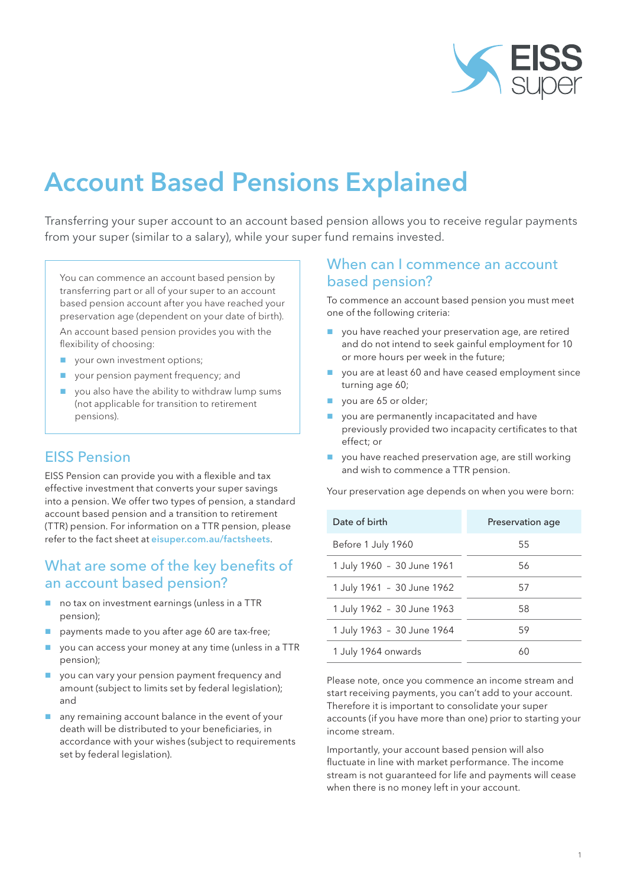

# Account Based Pensions Explained

Transferring your super account to an account based pension allows you to receive regular payments from your super (similar to a salary), while your super fund remains invested.

You can commence an account based pension by transferring part or all of your super to an account based pension account after you have reached your preservation age (dependent on your date of birth).

An account based pension provides you with the flexibility of choosing:

- vour own investment options;
- **v** your pension payment frequency; and
- vou also have the ability to withdraw lump sums (not applicable for transition to retirement pensions).

## EISS Pension

EISS Pension can provide you with a flexible and tax effective investment that converts your super savings into a pension. We offer two types of pension, a standard account based pension and a transition to retirement (TTR) pension. For information on a TTR pension, please refer to the fact sheet at eisuper.com.au/factsheets.

### What are some of the key benefits of an account based pension?

- no tax on investment earnings (unless in a TTR pension);
- payments made to you after age 60 are tax-free;
- you can access your money at any time (unless in a TTR pension);
- **U** you can vary your pension payment frequency and amount (subject to limits set by federal legislation); and
- any remaining account balance in the event of your death will be distributed to your beneficiaries, in accordance with your wishes (subject to requirements set by federal legislation).

## When can I commence an account based pension?

To commence an account based pension you must meet one of the following criteria:

- vou have reached your preservation age, are retired and do not intend to seek gainful employment for 10 or more hours per week in the future;
- vou are at least 60 and have ceased employment since turning age 60;
- vou are 65 or older;
- vou are permanently incapacitated and have previously provided two incapacity certificates to that effect; or
- vou have reached preservation age, are still working and wish to commence a TTR pension.

Your preservation age depends on when you were born:

| Date of birth              | Preservation age |
|----------------------------|------------------|
| Before 1 July 1960         | 55               |
| 1 July 1960 - 30 June 1961 | 56               |
| 1 July 1961 - 30 June 1962 | 57               |
| 1 July 1962 - 30 June 1963 | 58               |
| 1 July 1963 - 30 June 1964 | 59               |
| 1 July 1964 onwards        | 60               |

Please note, once you commence an income stream and start receiving payments, you can't add to your account. Therefore it is important to consolidate your super accounts (if you have more than one) prior to starting your income stream.

Importantly, your account based pension will also fluctuate in line with market performance. The income stream is not guaranteed for life and payments will cease when there is no money left in your account.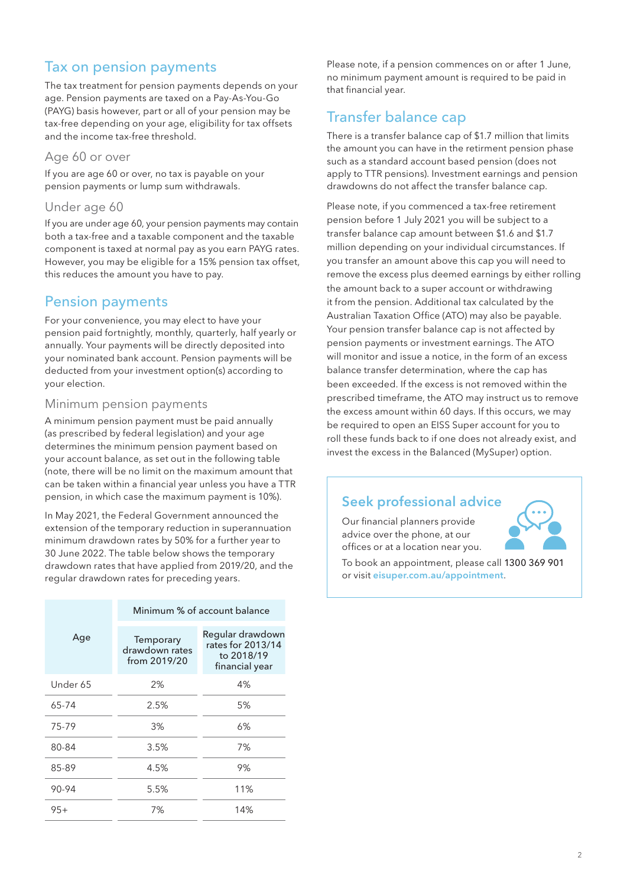# Tax on pension payments

The tax treatment for pension payments depends on your age. Pension payments are taxed on a Pay-As-You-Go (PAYG) basis however, part or all of your pension may be tax-free depending on your age, eligibility for tax offsets and the income tax-free threshold.

#### Age 60 or over

If you are age 60 or over, no tax is payable on your pension payments or lump sum withdrawals.

#### Under age 60

If you are under age 60, your pension payments may contain both a tax-free and a taxable component and the taxable component is taxed at normal pay as you earn PAYG rates. However, you may be eligible for a 15% pension tax offset, this reduces the amount you have to pay.

## Pension payments

For your convenience, you may elect to have your pension paid fortnightly, monthly, quarterly, half yearly or annually. Your payments will be directly deposited into your nominated bank account. Pension payments will be deducted from your investment option(s) according to your election.

#### Minimum pension payments

A minimum pension payment must be paid annually (as prescribed by federal legislation) and your age determines the minimum pension payment based on your account balance, as set out in the following table (note, there will be no limit on the maximum amount that can be taken within a financial year unless you have a TTR pension, in which case the maximum payment is 10%).

In May 2021, the Federal Government announced the extension of the temporary reduction in superannuation minimum drawdown rates by 50% for a further year to 30 June 2022. The table below shows the temporary drawdown rates that have applied from 2019/20, and the regular drawdown rates for preceding years.

|          |                                             | Minimum % of account balance                                          |
|----------|---------------------------------------------|-----------------------------------------------------------------------|
| Age      | Temporary<br>drawdown rates<br>from 2019/20 | Regular drawdown<br>rates for 2013/14<br>to 2018/19<br>financial year |
| Under 65 | 2%                                          | 4%                                                                    |
| 65-74    | 2.5%                                        | 5%                                                                    |
| 75-79    | 3%                                          | 6%                                                                    |
| 80-84    | 3.5%                                        | 7%                                                                    |
| 85-89    | 4.5%                                        | 9%                                                                    |
| 90-94    | 5.5%                                        | 11%                                                                   |
| $95+$    | 7%                                          | 14%                                                                   |

Please note, if a pension commences on or after 1 June, no minimum payment amount is required to be paid in that financial year.

# Transfer balance cap

There is a transfer balance cap of \$1.7 million that limits the amount you can have in the retirment pension phase such as a standard account based pension (does not apply to TTR pensions). Investment earnings and pension drawdowns do not affect the transfer balance cap.

Please note, if you commenced a tax-free retirement pension before 1 July 2021 you will be subject to a transfer balance cap amount between \$1.6 and \$1.7 million depending on your individual circumstances. If you transfer an amount above this cap you will need to remove the excess plus deemed earnings by either rolling the amount back to a super account or withdrawing it from the pension. Additional tax calculated by the Australian Taxation Office (ATO) may also be payable. Your pension transfer balance cap is not affected by pension payments or investment earnings. The ATO will monitor and issue a notice, in the form of an excess balance transfer determination, where the cap has been exceeded. If the excess is not removed within the prescribed timeframe, the ATO may instruct us to remove the excess amount within 60 days. If this occurs, we may be required to open an EISS Super account for you to roll these funds back to if one does not already exist, and invest the excess in the Balanced (MySuper) option.

#### Seek professional advice

Our financial planners provide advice over the phone, at our offices or at a location near you.



To book an appointment, please call 1300 369 901 or visit eisuper.com.au/appointment.